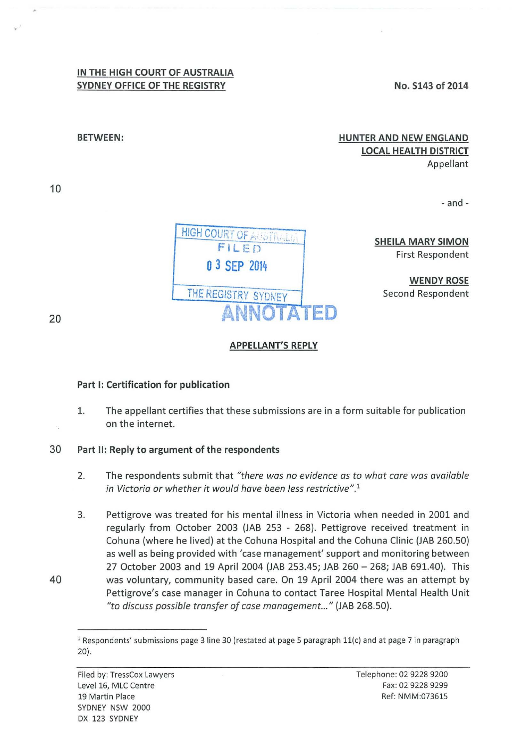## **IN THE HIGH COURT OF AUSTRALIA SYDNEY OFFICE OF THE REGISTRY**

**No. S143 of 2014** 

## **HUNTER AND NEW ENGLAND LOCAL HEALTH DISTRICT**  Appellant

-and-



**SHEILA MARY SIMON**  First Respondent

**WENDY ROSE**  Second Respondent

20

10

**BETWEEN:** 

## **APPELLANT'S REPLY**

## **Part 1: Certification for publication**

- 1. The appellant certifies that these submissions are in a form suitable for publication on the internet.
- 30 **Part II: Reply to argument of the respondents** 
	- 2. The respondents submit that *"there was no evidence as to what care was available in Victoria or whether it would have been less restrictive".*<sup>1</sup>
- 3. Pettigrove was treated for his mental illness in Victoria when needed in 2001 and regularly from October 2003 (JAB 253 - 268). Pettigrove received treatment in Cohuna (where he lived) at the Cohuna Hospital and the Cohuna Clinic (JAB 260.50) as well as being provided with 'case management' support and monitoring between 27 October 2003 and 19 April 2004 (JAB 253.45; JAB 260- 268; JAB 691.40). This 40 was voluntary, community based care. On 19 April 2004 there was an attempt by Pettigrove's case manager in Cohuna to contact Taree Hospital Mental Health Unit *"to discuss possible transfer of case management..."* (JAB 268.50).



<sup>&</sup>lt;sup>1</sup> Respondents' submissions page 3 line 30 (restated at page 5 paragraph 11(c) and at page 7 in paragraph 20).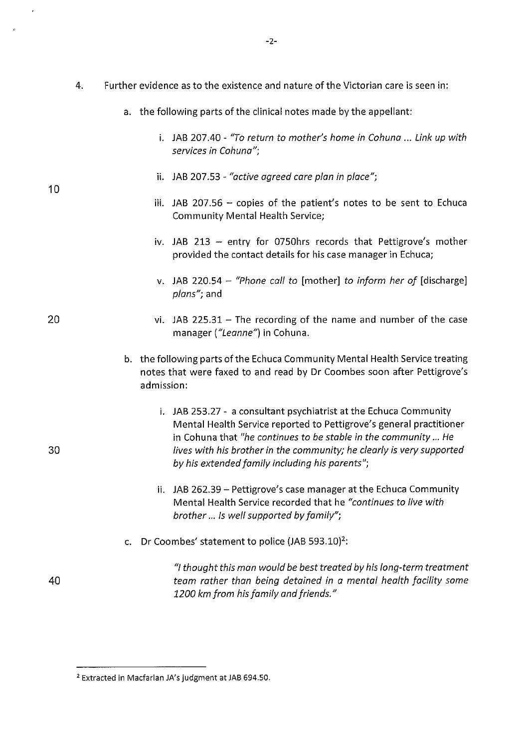- 4. Further evidence as to the existence and nature of the Victorian care is seen in:
	- a. the following parts of the clinical notes made by the appellant:
		- i. JAB 207.40- *"To return to mother's home in Cohuna* ... *Link up with services in Cohuna";*
		- ii. JAB 207.53 *"active agreed care plan in place";*

10

20

30

40

- iii. JAB 207.56 copies of the patient's notes to be sent to Echuca Community Mental Health Service;
- iv. JAB 213 entry for 0750hrs records that Pettigrove's mother provided the contact details for his case manager in Echuca;
- v. JAB 220.54 *"Phone call to* [mother] *to inform her of* [discharge] *plans";* and
- vi. JAB 225.31  $-$  The recording of the name and number of the case manager *("Leanne")* in Cohuna.
- b. the following parts of the Echuca Community Mental Health Service treating notes that were faxed to and read by Dr Coombes soon after Pettigrove's admission:
	- i. JAB 253.27- a consultant psychiatrist at the Echuca Community Mental Health Service reported to Pettigrove's general practitioner in Cohuna that *"he continues to be stable in the community ... He lives with his brother in the community; he clearly is very supported by his extended family including his parents";*
	- ii. JAB 262.39 Pettigrove's case manager at the Echuca Community Mental Health Service recorded that he *"continues to live with brother ... Is well supported by family";*
- c. Dr Coombes' statement to police (JAB 593.10)<sup>2</sup>:

*"I thought this mon would be best treated by his long-term treatment team rather than being detained in a mental health facility some 1200 km from his family and friends."* 

<sup>2</sup> Extracted in Macfarlan JA's judgment at JAB 694.50.